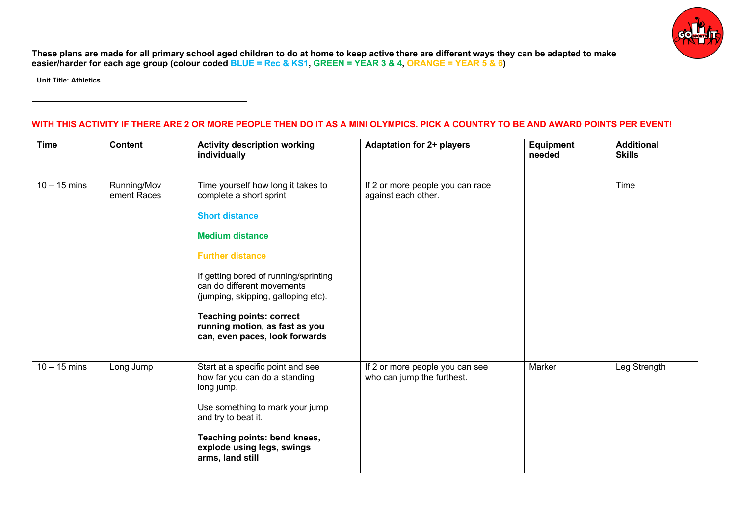

**These plans are made for all primary school aged children to do at home to keep active there are different ways they can be adapted to make easier/harder for each age group (colour coded BLUE = Rec & KS1, GREEN = YEAR 3 & 4, ORANGE = YEAR 5 & 6)**

**Unit Title: Athletics**

## **WITH THIS ACTIVITY IF THERE ARE 2 OR MORE PEOPLE THEN DO IT AS A MINI OLYMPICS. PICK A COUNTRY TO BE AND AWARD POINTS PER EVENT!**

| <b>Time</b>    | <b>Content</b>             | <b>Activity description working</b><br>individually                                                                                                                                                                                                                                                                                                              | <b>Adaptation for 2+ players</b>                              | <b>Equipment</b><br>needed | <b>Additional</b><br><b>Skills</b> |
|----------------|----------------------------|------------------------------------------------------------------------------------------------------------------------------------------------------------------------------------------------------------------------------------------------------------------------------------------------------------------------------------------------------------------|---------------------------------------------------------------|----------------------------|------------------------------------|
| $10 - 15$ mins | Running/Mov<br>ement Races | Time yourself how long it takes to<br>complete a short sprint<br><b>Short distance</b><br><b>Medium distance</b><br><b>Further distance</b><br>If getting bored of running/sprinting<br>can do different movements<br>(jumping, skipping, galloping etc).<br><b>Teaching points: correct</b><br>running motion, as fast as you<br>can, even paces, look forwards | If 2 or more people you can race<br>against each other.       |                            | Time                               |
| $10 - 15$ mins | Long Jump                  | Start at a specific point and see<br>how far you can do a standing<br>long jump.<br>Use something to mark your jump<br>and try to beat it.<br>Teaching points: bend knees,<br>explode using legs, swings<br>arms, land still                                                                                                                                     | If 2 or more people you can see<br>who can jump the furthest. | Marker                     | Leg Strength                       |